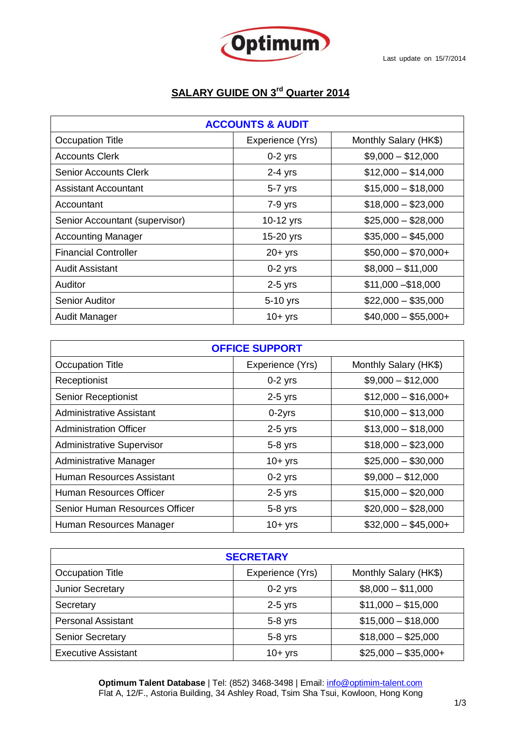

## **SALARY GUIDE ON 3 rd Quarter 2014**

| <b>ACCOUNTS &amp; AUDIT</b>    |                  |                       |
|--------------------------------|------------------|-----------------------|
| Occupation Title               | Experience (Yrs) | Monthly Salary (HK\$) |
| <b>Accounts Clerk</b>          | $0-2$ yrs        | $$9,000 - $12,000$    |
| <b>Senior Accounts Clerk</b>   | $2-4$ yrs        | $$12,000 - $14,000$   |
| <b>Assistant Accountant</b>    | 5-7 yrs          | $$15,000 - $18,000$   |
| Accountant                     | $7-9$ yrs        | $$18,000 - $23,000$   |
| Senior Accountant (supervisor) | 10-12 yrs        | $$25,000 - $28,000$   |
| <b>Accounting Manager</b>      | 15-20 yrs        | $$35,000 - $45,000$   |
| <b>Financial Controller</b>    | $20 + yrs$       | $$50,000 - $70,000 +$ |
| <b>Audit Assistant</b>         | $0-2$ yrs        | $$8,000 - $11,000$    |
| Auditor                        | $2-5$ yrs        | $$11,000 - $18,000$   |
| <b>Senior Auditor</b>          | 5-10 yrs         | $$22,000 - $35,000$   |
| Audit Manager                  | $10+$ yrs        | $$40,000 - $55,000 +$ |

| <b>OFFICE SUPPORT</b>            |                  |                       |
|----------------------------------|------------------|-----------------------|
| <b>Occupation Title</b>          | Experience (Yrs) | Monthly Salary (HK\$) |
| Receptionist                     | $0-2$ yrs        | $$9,000 - $12,000$    |
| <b>Senior Receptionist</b>       | $2-5$ yrs        | $$12,000 - $16,000 +$ |
| <b>Administrative Assistant</b>  | $0-2yrs$         | $$10,000 - $13,000$   |
| <b>Administration Officer</b>    | $2-5$ yrs        | $$13,000 - $18,000$   |
| <b>Administrative Supervisor</b> | $5-8$ yrs        | $$18,000 - $23,000$   |
| Administrative Manager           | $10+$ yrs        | $$25,000 - $30,000$   |
| Human Resources Assistant        | $0-2$ yrs        | $$9,000 - $12,000$    |
| Human Resources Officer          | $2-5$ yrs        | $$15,000 - $20,000$   |
| Senior Human Resources Officer   | $5-8$ yrs        | $$20,000 - $28,000$   |
| Human Resources Manager          | $10+$ yrs        | $$32,000 - $45,000 +$ |

| <b>SECRETARY</b>           |                  |                       |
|----------------------------|------------------|-----------------------|
| Occupation Title           | Experience (Yrs) | Monthly Salary (HK\$) |
| <b>Junior Secretary</b>    | $0-2$ yrs        | $$8,000 - $11,000$    |
| Secretary                  | $2-5$ yrs        | $$11,000 - $15,000$   |
| <b>Personal Assistant</b>  | $5-8$ yrs        | $$15,000 - $18,000$   |
| <b>Senior Secretary</b>    | $5-8$ yrs        | $$18,000 - $25,000$   |
| <b>Executive Assistant</b> | $10+$ yrs        | $$25,000 - $35,000 +$ |

**Optimum Talent Database** | Tel: (852) 3468-3498 | Email: info@optimim-talent.com Flat A, 12/F., Astoria Building, 34 Ashley Road, Tsim Sha Tsui, Kowloon, Hong Kong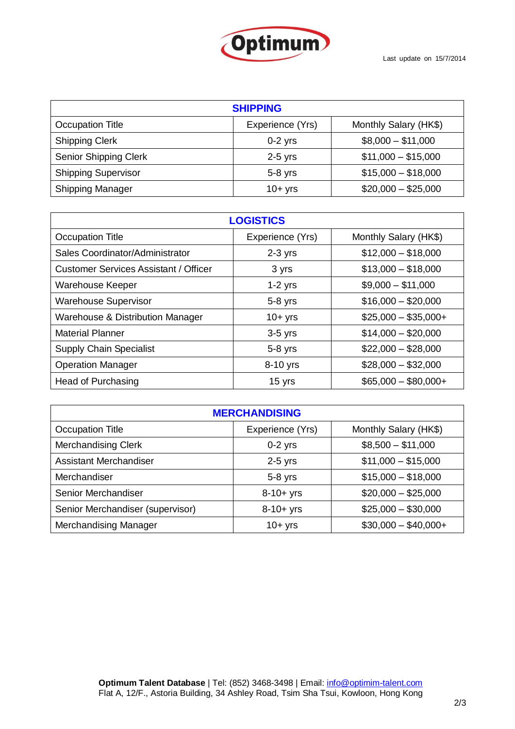

| <b>SHIPPING</b>              |                  |                       |
|------------------------------|------------------|-----------------------|
| Occupation Title             | Experience (Yrs) | Monthly Salary (HK\$) |
| <b>Shipping Clerk</b>        | $0-2$ yrs        | $$8,000 - $11,000$    |
| <b>Senior Shipping Clerk</b> | $2-5$ yrs        | $$11,000 - $15,000$   |
| <b>Shipping Supervisor</b>   | $5-8$ yrs        | $$15,000 - $18,000$   |
| <b>Shipping Manager</b>      | $10+$ yrs        | $$20,000 - $25,000$   |

| <b>LOGISTICS</b>                             |                  |                       |
|----------------------------------------------|------------------|-----------------------|
| <b>Occupation Title</b>                      | Experience (Yrs) | Monthly Salary (HK\$) |
| Sales Coordinator/Administrator              | $2-3$ yrs        | $$12,000 - $18,000$   |
| <b>Customer Services Assistant / Officer</b> | 3 yrs            | $$13,000 - $18,000$   |
| Warehouse Keeper                             | $1-2$ yrs        | $$9,000 - $11,000$    |
| <b>Warehouse Supervisor</b>                  | $5-8$ yrs        | $$16,000 - $20,000$   |
| <b>Warehouse &amp; Distribution Manager</b>  | $10+$ yrs        | $$25,000 - $35,000 +$ |
| <b>Material Planner</b>                      | $3-5$ yrs        | $$14,000 - $20,000$   |
| <b>Supply Chain Specialist</b>               | $5-8$ yrs        | $$22,000 - $28,000$   |
| <b>Operation Manager</b>                     | 8-10 yrs         | $$28,000 - $32,000$   |
| Head of Purchasing                           | 15 yrs           | $$65,000 - $80,000 +$ |

| <b>MERCHANDISING</b>             |                  |                       |
|----------------------------------|------------------|-----------------------|
| Occupation Title                 | Experience (Yrs) | Monthly Salary (HK\$) |
| <b>Merchandising Clerk</b>       | $0-2$ yrs        | $$8,500 - $11,000$    |
| Assistant Merchandiser           | $2-5$ yrs        | $$11,000 - $15,000$   |
| Merchandiser                     | $5-8$ yrs        | $$15,000 - $18,000$   |
| Senior Merchandiser              | $8 - 10 + yrs$   | $$20,000 - $25,000$   |
| Senior Merchandiser (supervisor) | $8 - 10 + yrs$   | $$25,000 - $30,000$   |
| <b>Merchandising Manager</b>     | $10+yrs$         | $$30,000 - $40,000 +$ |